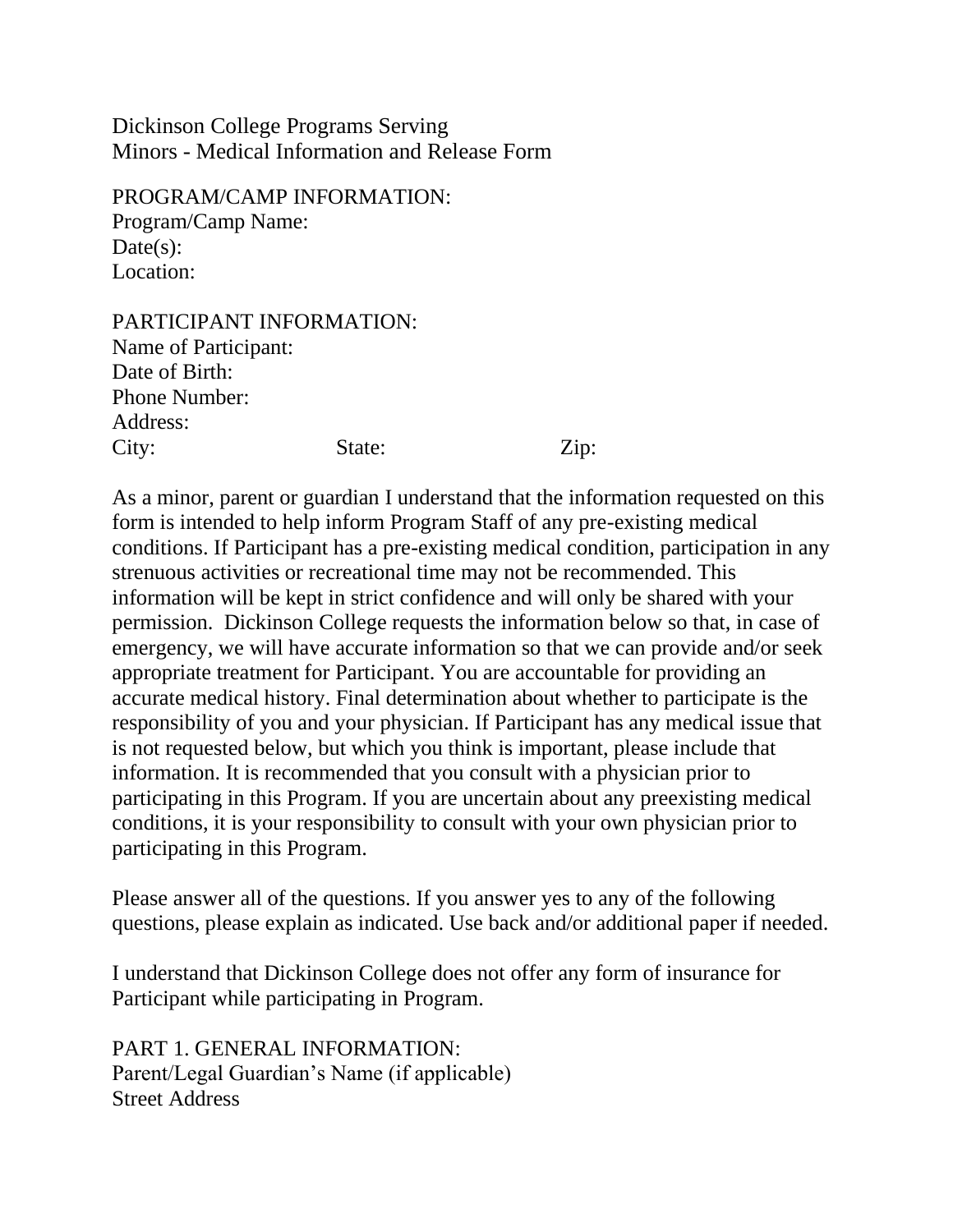Dickinson College Programs Serving Minors - Medical Information and Release Form

PROGRAM/CAMP INFORMATION: Program/Camp Name:  $Date(s)$ : Location:

PARTICIPANT INFORMATION: Name of Participant: Date of Birth: Phone Number: Address: City: State: Zip:

As a minor, parent or guardian I understand that the information requested on this form is intended to help inform Program Staff of any pre-existing medical conditions. If Participant has a pre-existing medical condition, participation in any strenuous activities or recreational time may not be recommended. This information will be kept in strict confidence and will only be shared with your permission. Dickinson College requests the information below so that, in case of emergency, we will have accurate information so that we can provide and/or seek appropriate treatment for Participant. You are accountable for providing an accurate medical history. Final determination about whether to participate is the responsibility of you and your physician. If Participant has any medical issue that is not requested below, but which you think is important, please include that information. It is recommended that you consult with a physician prior to participating in this Program. If you are uncertain about any preexisting medical conditions, it is your responsibility to consult with your own physician prior to participating in this Program.

Please answer all of the questions. If you answer yes to any of the following questions, please explain as indicated. Use back and/or additional paper if needed.

I understand that Dickinson College does not offer any form of insurance for Participant while participating in Program.

PART 1. GENERAL INFORMATION: Parent/Legal Guardian's Name (if applicable) Street Address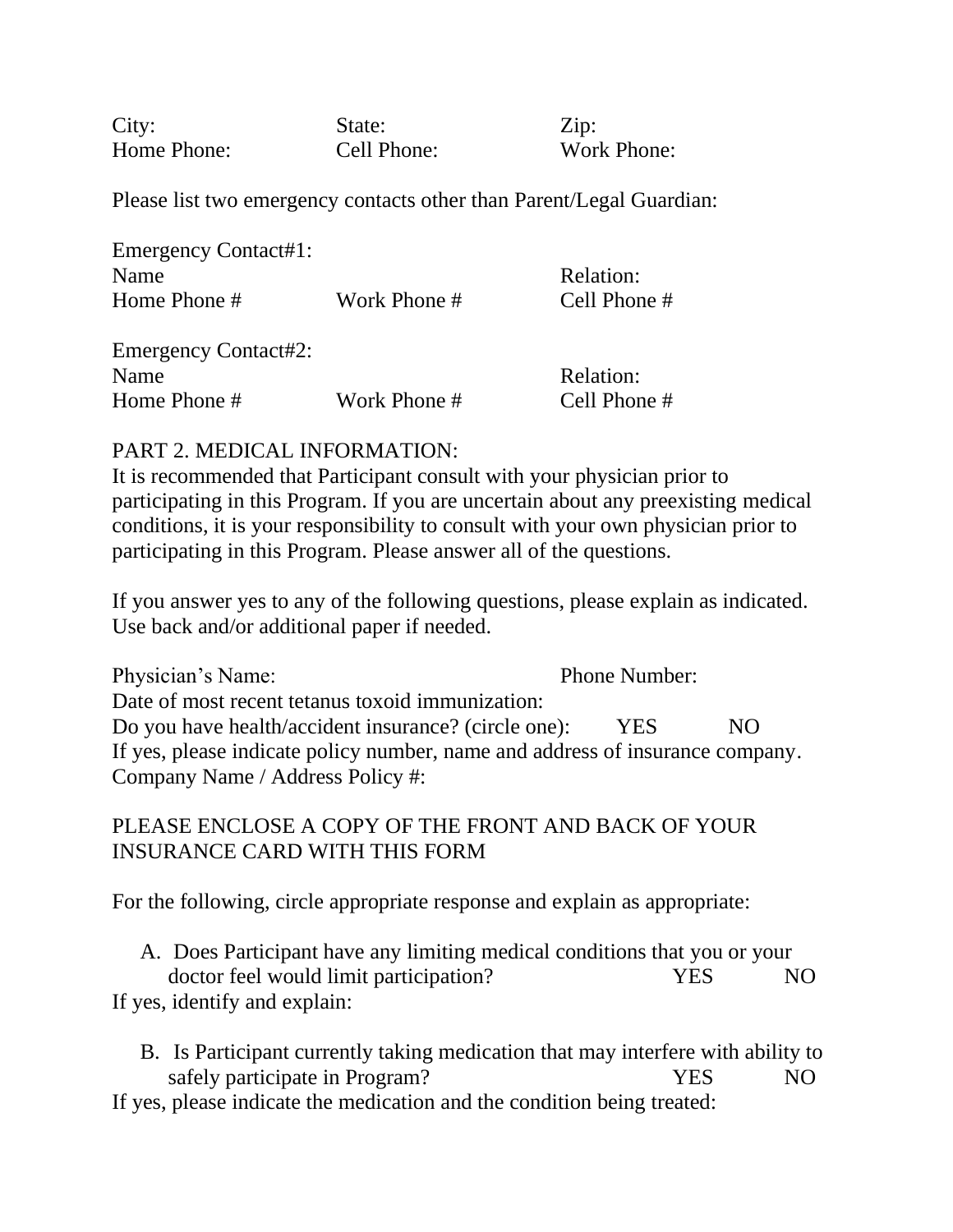City: State: Zip: Home Phone: Cell Phone: Work Phone:

Please list two emergency contacts other than Parent/Legal Guardian:

| <b>Emergency Contact#1:</b> |              |                  |
|-----------------------------|--------------|------------------|
| Name                        |              | Relation:        |
| Home Phone #                | Work Phone # | Cell Phone #     |
|                             |              |                  |
| <b>Emergency Contact#2:</b> |              |                  |
| Name                        |              | <b>Relation:</b> |
| Home Phone #                | Work Phone # | Cell Phone #     |

# PART 2. MEDICAL INFORMATION:

It is recommended that Participant consult with your physician prior to participating in this Program. If you are uncertain about any preexisting medical conditions, it is your responsibility to consult with your own physician prior to participating in this Program. Please answer all of the questions.

If you answer yes to any of the following questions, please explain as indicated. Use back and/or additional paper if needed.

Physician's Name: Phone Number: Date of most recent tetanus toxoid immunization: Do you have health/accident insurance? (circle one): YES NO If yes, please indicate policy number, name and address of insurance company. Company Name / Address Policy #:

PLEASE ENCLOSE A COPY OF THE FRONT AND BACK OF YOUR INSURANCE CARD WITH THIS FORM

For the following, circle appropriate response and explain as appropriate:

A. Does Participant have any limiting medical conditions that you or your doctor feel would limit participation? TES NO If yes, identify and explain:

B. Is Participant currently taking medication that may interfere with ability to safely participate in Program? TES NO

If yes, please indicate the medication and the condition being treated: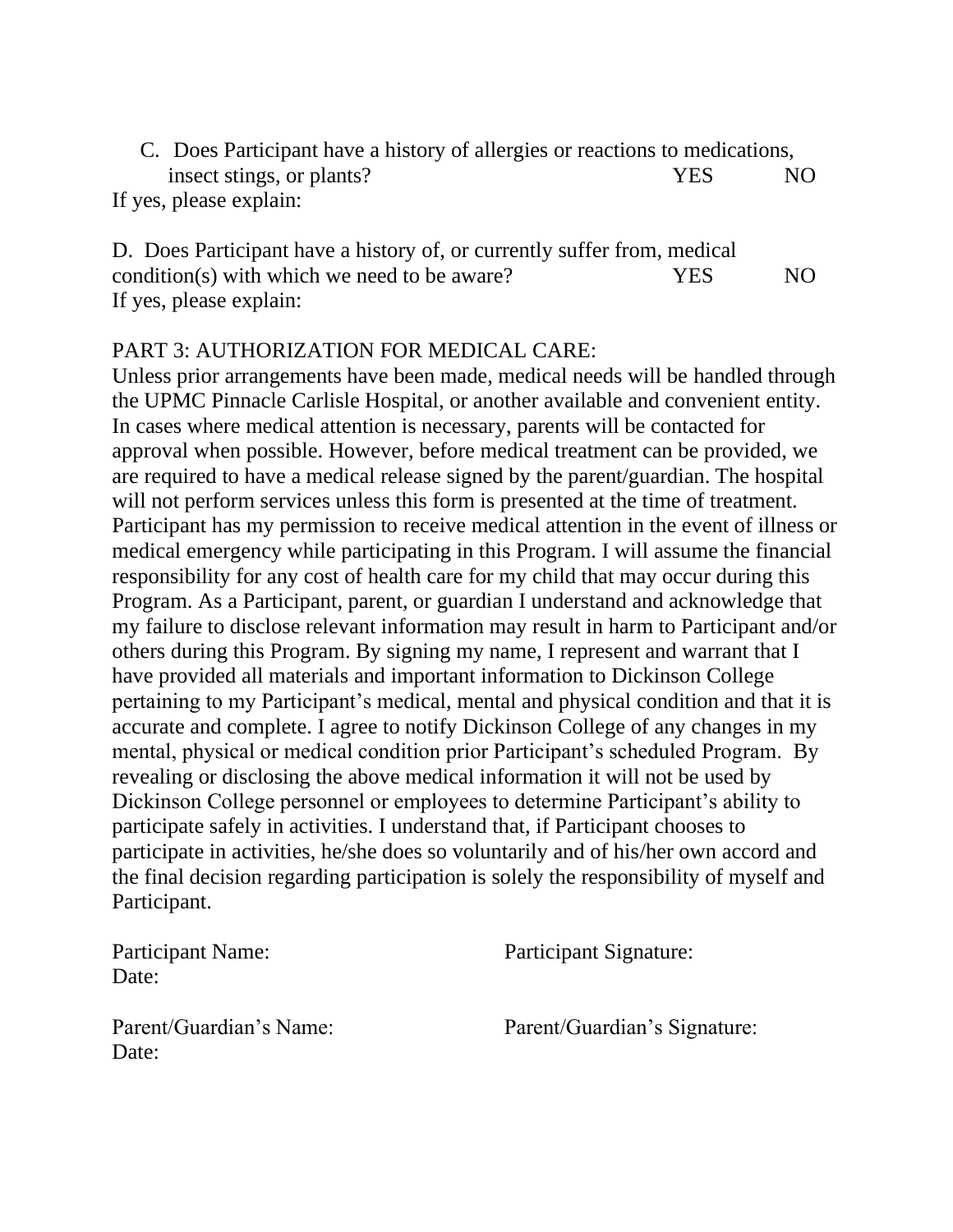C. Does Participant have a history of allergies or reactions to medications, insect stings, or plants? YES NO If yes, please explain:

D. Does Participant have a history of, or currently suffer from, medical condition(s) with which we need to be aware? YES NO If yes, please explain:

#### PART 3: AUTHORIZATION FOR MEDICAL CARE:

Unless prior arrangements have been made, medical needs will be handled through the UPMC Pinnacle Carlisle Hospital, or another available and convenient entity. In cases where medical attention is necessary, parents will be contacted for approval when possible. However, before medical treatment can be provided, we are required to have a medical release signed by the parent/guardian. The hospital will not perform services unless this form is presented at the time of treatment. Participant has my permission to receive medical attention in the event of illness or medical emergency while participating in this Program. I will assume the financial responsibility for any cost of health care for my child that may occur during this Program. As a Participant, parent, or guardian I understand and acknowledge that my failure to disclose relevant information may result in harm to Participant and/or others during this Program. By signing my name, I represent and warrant that I have provided all materials and important information to Dickinson College pertaining to my Participant's medical, mental and physical condition and that it is accurate and complete. I agree to notify Dickinson College of any changes in my mental, physical or medical condition prior Participant's scheduled Program. By revealing or disclosing the above medical information it will not be used by Dickinson College personnel or employees to determine Participant's ability to participate safely in activities. I understand that, if Participant chooses to participate in activities, he/she does so voluntarily and of his/her own accord and the final decision regarding participation is solely the responsibility of myself and Participant.

Date:

Participant Name: Participant Signature:

Date:

Parent/Guardian's Name: Parent/Guardian's Signature: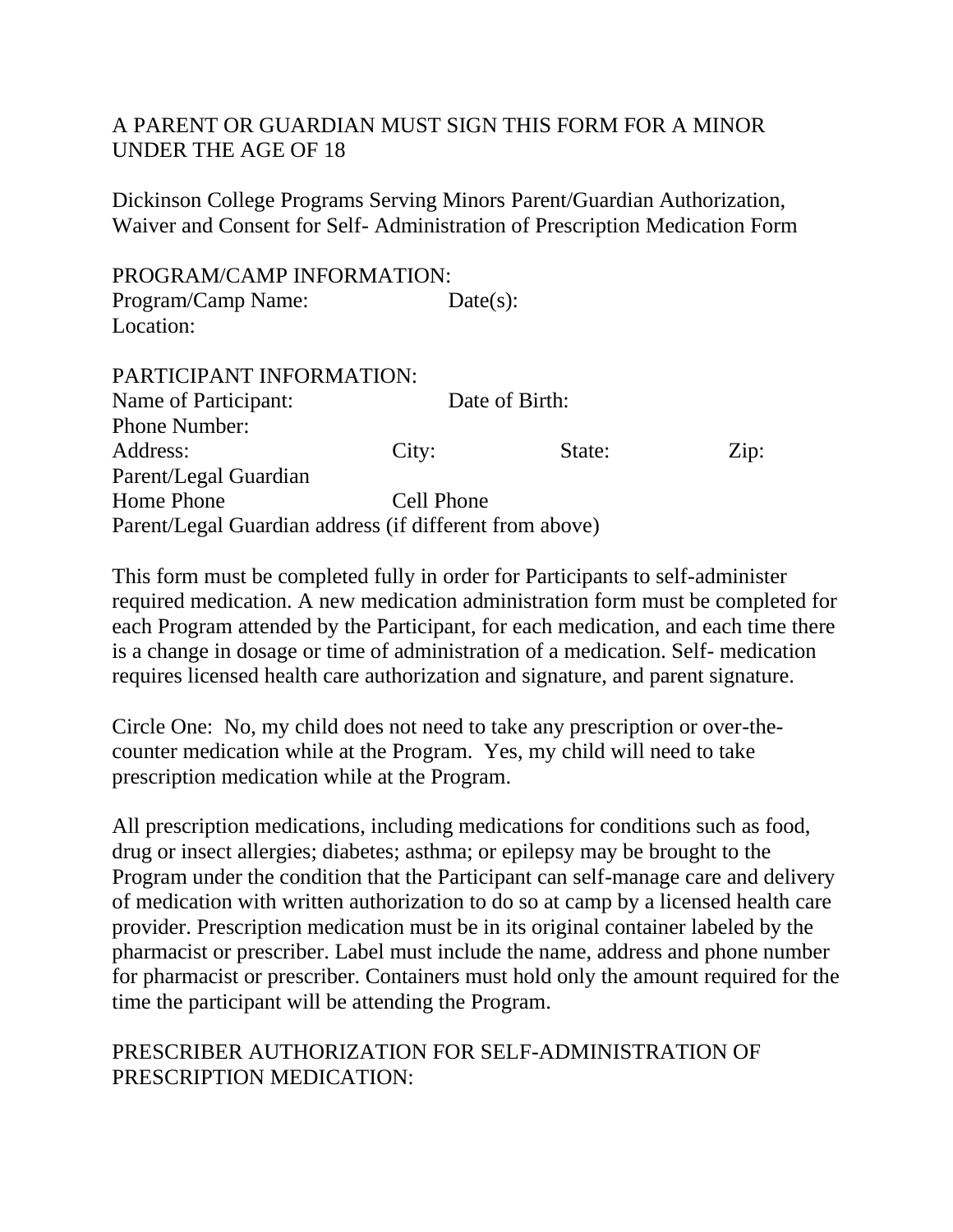# A PARENT OR GUARDIAN MUST SIGN THIS FORM FOR A MINOR UNDER THE AGE OF 18

Dickinson College Programs Serving Minors Parent/Guardian Authorization, Waiver and Consent for Self- Administration of Prescription Medication Form

PROGRAM/CAMP INFORMATION: Program/Camp Name: Date(s): Location:

# PARTICIPANT INFORMATION:

| Name of Participant:                                    | Date of Birth: |        |                    |
|---------------------------------------------------------|----------------|--------|--------------------|
| <b>Phone Number:</b>                                    |                |        |                    |
| Address:                                                | City:          | State: | $\overline{Lip}$ : |
| Parent/Legal Guardian                                   |                |        |                    |
| Home Phone                                              | Cell Phone     |        |                    |
| Parent/Legal Guardian address (if different from above) |                |        |                    |

This form must be completed fully in order for Participants to self-administer required medication. A new medication administration form must be completed for each Program attended by the Participant, for each medication, and each time there is a change in dosage or time of administration of a medication. Self- medication requires licensed health care authorization and signature, and parent signature.

Circle One: No, my child does not need to take any prescription or over-thecounter medication while at the Program. Yes, my child will need to take prescription medication while at the Program.

All prescription medications, including medications for conditions such as food, drug or insect allergies; diabetes; asthma; or epilepsy may be brought to the Program under the condition that the Participant can self-manage care and delivery of medication with written authorization to do so at camp by a licensed health care provider. Prescription medication must be in its original container labeled by the pharmacist or prescriber. Label must include the name, address and phone number for pharmacist or prescriber. Containers must hold only the amount required for the time the participant will be attending the Program.

# PRESCRIBER AUTHORIZATION FOR SELF-ADMINISTRATION OF PRESCRIPTION MEDICATION: